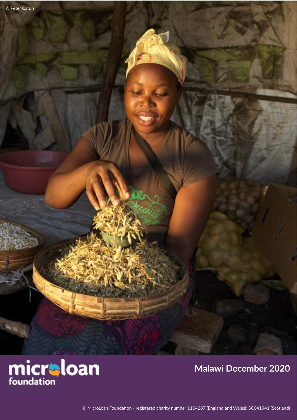

## **Malawi December 2020**

© MicroLoan Foundation - registered charity number 1104287 (England and Wales); SC041941 (Scotland)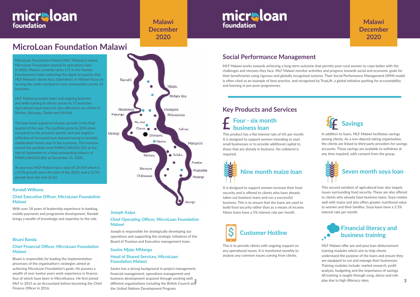## **MicroLoan Foundation Malawi**

### **Bisani Banda**

### **Chief Financial Officer, MicroLoan Foundation Malawi**

Bisani is responsible for leading the implementation processes of the organisation's strategies aimed at achieving MicroLoan Foundation's goals. He possess a wealth of over twelve years work experience in finance, four of which have been in Microfinance. He first joined MLF in 2015 as an Accountant before becoming the Chief Finance Officer in 2016.



MLF Malawi works towards achieving a long-term outcome that permits poor rural women to cope better with the challenges and stresses they face. MLF Malawi monitor activities and progress towards social and economic goals for their beneficiaries using rigorous and globally recognised systems. Their Social Performance Management (SPM) model is often cited as an example of best practice, and recognised by TrueLift, a global initiative pushing for accountability and learning in pro-poor programmes.

## **Social Performance Management**

### **Joseph Kaipa**

#### **Chief Operating Officer, MicroLoan Foundation Malawi**

Joseph is responsible for strategically developing our operations and supporting the strategic initiatives of the Board of Trustees and Executive management team.

a 9.3% growth since the start of the 2020, and a 13.5% At year end, MLF Malawi had a total of 29,454 which is growth from the end of Q3.

# micraloan foundation

**Malawi December 2020**

## micraloan foundation

MicroLoan Foundation Malawi (MLF Malawi) is where MicroLoan Foundation started its operations back in 2002. Malawi currently ranks 171 in the Human Development Index reflecting the depth of poverty that MLF Malawi's clients face. Operations in Malawi focus on serving the under reached in rural communities across 15 branches.

## **Four - six month business loan**<br>**business loan**

MLF Malawi provides loans and ongoing business and skills training to clients across its 15 branches. Agricultural input loans are also offered to our clients in Ntcheu, Kasungu, Dedza and Mchinji.

The loan book registered sharper growth in the final quarter of the year. The portfolio grew by 20% when compared to the previous quarter and was largely a reflection of increased loan demand owing to broader stabilisation trends seen in the economy. This increase moved the portfolio from MWK1,398,831,333 at the end of September to a total outstanding balance of MWK1,684,852,861 at December 31, 2020.

# **Key Products and Services**

**2** different organizations including the British Council and Saulos has a strong background in project management, financial management, operations management and business development acquired through working with the United Nations Development Program.



This is to provide clients with ongoing support on any operational issues. It is monitored monthly to analyse any common issues coming from clients.

## **Financial literacy and business training**

MLF Malawi offer pre and post loan disbursement training modules which aim to help clients understand the purpose of the loans and ensure they are equipped to run and manage their businesses. Training modules include: market research, profit analysis, budgeting and the importance of savings. All training is taught through song, dance and role play due to high illiteracy rates.

This product has a flat interest rate of 6% per month. It is designed to support women intending to start small businesses or to provide additional capital to those that are already in business. No collateral is required.



In addition to loans, MLF Malawi facilitates savings among clients. As a non-deposit taking organisation, the clients are linked to third party providers for savings accounts. These savings are available to withdraw at any time required, with consent from the group.

It is designed to support women increase their food security and is offered to clients who have already taken out business loans and run a successful business. This is to ensure that the loans are used to build food security rather than as a means of income. Maize loans have a 5% interest rate per month.

This second variation of agricultural loan also targets issues surrounding food security. These are also offered to clients who already have business loans. Soya rotates well with maize and also offers greater nutritional value to women and their families. Soya loans have a 5.5% interest rate per month.



## **Randall Williams**

## **Chief Executive Officer, MicroLoan Foundation Malawi**

With over 18 years of leadership experience in banking, mobile payments and programme development, Randall brings a wealth of knowledge and expertise to the role.

### **Saulos Mjojo Mhlanga**

### **Head of Shared Services, MicroLoan Foundation Malawi**

## **Malawi December 2020**